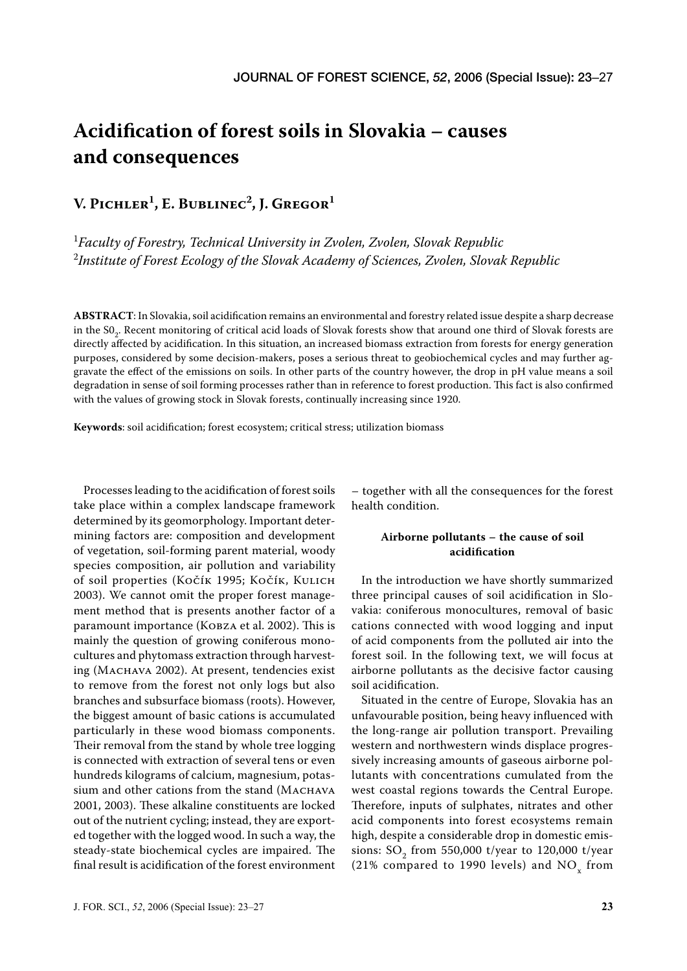# **Acidification of forest soils in Slovakia – causes and consequences**

**V. PICHLER1 , E. BUBLINEC2 , J. GREGOR1**

1 *Faculty of Forestry, Technical University in Zvolen, Zvolen, Slovak Republic*  2 *Institute of Forest Ecology of the Slovak Academy of Sciences, Zvolen, Slovak Republic*

**ABSTRACT**: In Slovakia, soil acidification remains an environmental and forestry related issue despite a sharp decrease in the S0<sub>2</sub>. Recent monitoring of critical acid loads of Slovak forests show that around one third of Slovak forests are directly affected by acidification. In this situation, an increased biomass extraction from forests for energy generation purposes, considered by some decision-makers, poses a serious threat to geobiochemical cycles and may further aggravate the effect of the emissions on soils. In other parts of the country however, the drop in pH value means a soil degradation in sense of soil forming processes rather than in reference to forest production. This fact is also confirmed with the values of growing stock in Slovak forests, continually increasing since 1920.

**Keywords**: soil acidification; forest ecosystem; critical stress; utilization biomass

Processes leading to the acidification of forest soils take place within a complex landscape framework determined by its geomorphology. Important determining factors are: composition and development of vegetation, soil-forming parent material, woody species composition, air pollution and variability of soil properties (KOČÍK 1995; KOČÍK, KULICH 2003). We cannot omit the proper forest management method that is presents another factor of a paramount importance (KOBZA et al. 2002). This is mainly the question of growing coniferous monocultures and phytomass extraction through harvesting (MACHAVA 2002). At present, tendencies exist to remove from the forest not only logs but also branches and subsurface biomass (roots). However, the biggest amount of basic cations is accumulated particularly in these wood biomass components. Their removal from the stand by whole tree logging is connected with extraction of several tens or even hundreds kilograms of calcium, magnesium, potassium and other cations from the stand (MACHAVA 2001, 2003). These alkaline constituents are locked out of the nutrient cycling; instead, they are exported together with the logged wood. In such a way, the steady-state biochemical cycles are impaired. The final result is acidification of the forest environment

– together with all the consequences for the forest health condition.

## **Airborne pollutants – the cause of soil acidification**

In the introduction we have shortly summarized three principal causes of soil acidification in Slovakia: coniferous monocultures, removal of basic cations connected with wood logging and input of acid components from the polluted air into the forest soil. In the following text, we will focus at airborne pollutants as the decisive factor causing soil acidification.

Situated in the centre of Europe, Slovakia has an unfavourable position, being heavy influenced with the long-range air pollution transport. Prevailing western and northwestern winds displace progressively increasing amounts of gaseous airborne pollutants with concentrations cumulated from the west coastal regions towards the Central Europe. Therefore, inputs of sulphates, nitrates and other acid components into forest ecosystems remain high, despite a considerable drop in domestic emissions:  $SO_2$  from 550,000 t/year to 120,000 t/year (21% compared to 1990 levels) and  $\rm NO_{_X}$  from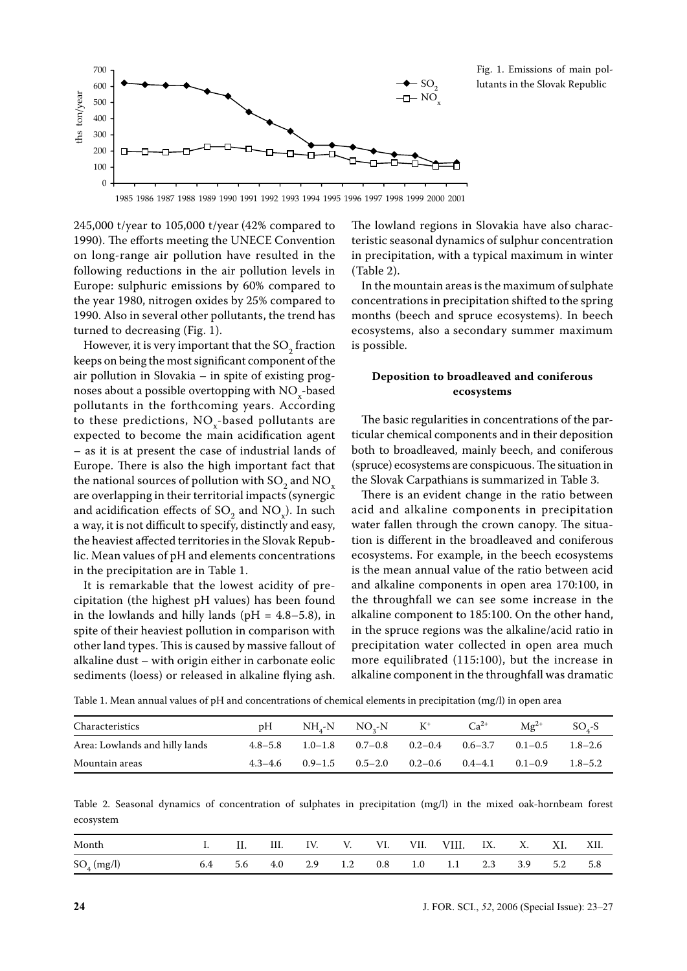

Fig. 1. Emissions of main pollutants in the Slovak Republic

1985 1986 1987 1988 1989 1990 1991 1992 1993 1994 1995 1996 1997 1998 1999 2000 2001

245,000 t/year to 105,000 t/year (42% compared to 1990). The efforts meeting the UNECE Convention on long-range air pollution have resulted in the following reductions in the air pollution levels in Europe: sulphuric emissions by 60% compared to the year 1980, nitrogen oxides by 25% compared to 1990. Also in several other pollutants, the trend has turned to decreasing (Fig. 1).

However, it is very important that the  $SO_2$  fraction keeps on being the most significant component of the air pollution in Slovakia – in spite of existing prognoses about a possible overtopping with  $NO_{x}$ -based pollutants in the forthcoming years. According to these predictions,  $NO<sub>x</sub>$ -based pollutants are expected to become the main acidification agent – as it is at present the case of industrial lands of Europe. There is also the high important fact that the national sources of pollution with SO<sub>2</sub> and NO<sub>x</sub> are overlapping in their territorial impacts (synergic and acidification effects of  $SO_2$  and  $NO_x$ ). In such a way, it is not difficult to specify, distinctly and easy, the heaviest affected territories in the Slovak Republic. Mean values of pH and elements concentrations in the precipitation are in Table 1.

It is remarkable that the lowest acidity of precipitation (the highest pH values) has been found in the lowlands and hilly lands ( $pH = 4.8-5.8$ ), in spite of their heaviest pollution in comparison with other land types. This is caused by massive fallout of alkaline dust – with origin either in carbonate eolic sediments (loess) or released in alkaline flying ash. The lowland regions in Slovakia have also characteristic seasonal dynamics of sulphur concentration in precipitation, with a typical maximum in winter (Table 2).

In the mountain areas is the maximum of sulphate concentrations in precipitation shifted to the spring months (beech and spruce ecosystems). In beech ecosystems, also a secondary summer maximum is possible.

#### **Deposition to broadleaved and coniferous ecosystems**

The basic regularities in concentrations of the particular chemical components and in their deposition both to broadleaved, mainly beech, and coniferous (spruce) ecosystems are conspicuous. The situation in the Slovak Carpathians is summarized in Table 3.

There is an evident change in the ratio between acid and alkaline components in precipitation water fallen through the crown canopy. The situation is different in the broadleaved and coniferous ecosystems. For example, in the beech ecosystems is the mean annual value of the ratio between acid and alkaline components in open area 170:100, in the throughfall we can see some increase in the alkaline component to 185:100. On the other hand, in the spruce regions was the alkaline/acid ratio in precipitation water collected in open area much more equilibrated (115:100), but the increase in alkaline component in the throughfall was dramatic

Table 1. Mean annual values of pH and concentrations of chemical elements in precipitation (mg/l) in open area

| Characteristics                | pH |                               | $NH_{4}-N$ $NO_{2}-N$ $K^{+}$                             | $Ca^{2+}$ | $\text{Mg}^{2+}$                        | SO <sub>s</sub> -S |
|--------------------------------|----|-------------------------------|-----------------------------------------------------------|-----------|-----------------------------------------|--------------------|
| Area: Lowlands and hilly lands |    |                               | $4.8-5.8$ 1.0-1.8 0.7-0.8 0.2-0.4 0.6-3.7 0.1-0.5 1.8-2.6 |           |                                         |                    |
| Mountain areas                 |    | $4.3-4.6$ $0.9-1.5$ $0.5-2.0$ |                                                           |           | $0.2-0.6$ $0.4-4.1$ $0.1-0.9$ $1.8-5.2$ |                    |

Table 2. Seasonal dynamics of concentration of sulphates in precipitation (mg/l) in the mixed oak-hornbeam forest ecosystem

| Month         | <br>11, | III. | IV. |         | Vl.      | VII. | VIII. | IX. | Х. | XI. | XII. |
|---------------|---------|------|-----|---------|----------|------|-------|-----|----|-----|------|
| $SO_4$ (mg/l) | 5.b     | 4.0  | 2.9 | $1.2\,$ | $_{0.8}$ | 1.0  |       | 2.3 |    | 5.2 | 5.8  |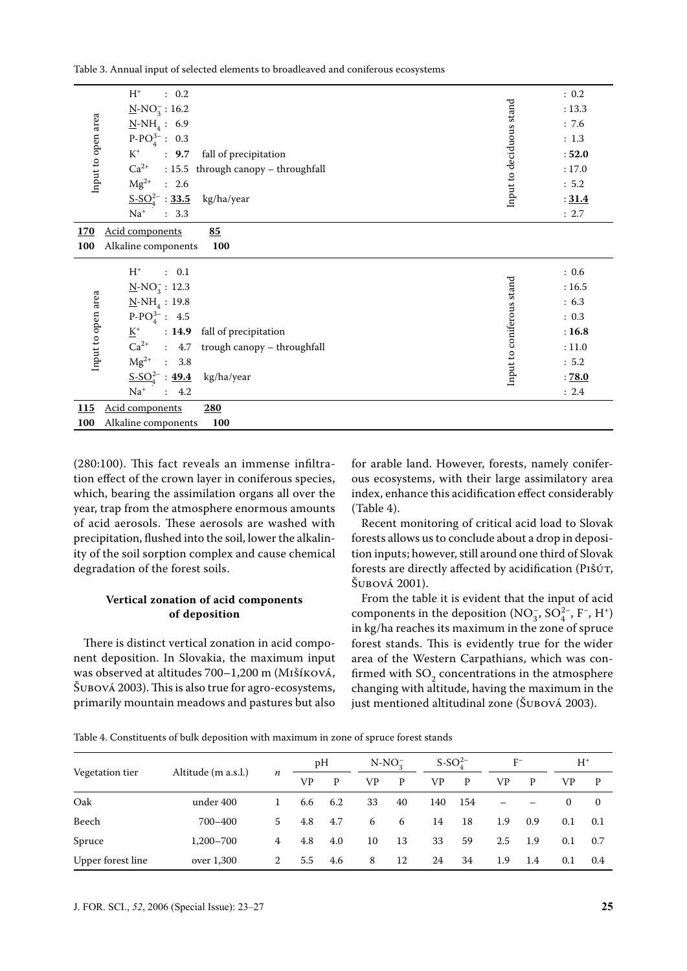| Table 3. Annual input of selected elements to broadleaved and coniferous ecosystems |  |
|-------------------------------------------------------------------------------------|--|
|-------------------------------------------------------------------------------------|--|

| Input to open area        | $H^+$<br>: 0.2<br>$N-NO_3^-$ : 16.2<br>$N-NH_4: 6.9$<br>$P-POA3-$ : 0.3<br>$K^+$<br>: 9.7<br>fall of precipitation<br>$Ca^{2+}$<br>: 15.5 through canopy - throughfall<br>$Mg^{2+}$<br>: 2.6<br>$S-SO_4^{2-}$ : 33.5 kg/ha/year<br>$Na+$<br>: 3.3                                                                                 | Input to deciduous stand  | : 0.2<br>: 13.3<br>: 7.6<br>: 1.3<br>: 52.0<br>: 17.0<br>: 5.2<br>: 31.4<br>: 2.7 |
|---------------------------|-----------------------------------------------------------------------------------------------------------------------------------------------------------------------------------------------------------------------------------------------------------------------------------------------------------------------------------|---------------------------|-----------------------------------------------------------------------------------|
| 170                       | Acid components<br>85                                                                                                                                                                                                                                                                                                             |                           |                                                                                   |
| 100<br>Input to open area | Alkaline components<br>100<br>$H^+$<br>: 0.1<br>$N-NO_3^-$ : 12.3<br>$N-NH_4: 19.8$<br>$P-PO43-$ : 4.5<br>$\underline{\mathbf{K}}^+$<br>: 14.9 fall of precipitation<br>$Ca^{2+}$ : 4.7 trough canopy – throughfall<br>$Mg^{2+}$<br>$\therefore$ 3.8<br>$S-SO_4^{2-}$ : 49.4 kg/ha/year<br>$\mathrm{Na}^+$<br>4.2<br>$\mathbf{r}$ | Input to coniferous stand | : 0.6<br>: 16.5<br>: 6.3<br>: 0.3<br>: 16.8<br>: 11.0<br>: 5.2<br>: 78.0<br>: 2.4 |
| <b>115</b>                | Acid components<br>280                                                                                                                                                                                                                                                                                                            |                           |                                                                                   |
| 100                       | Alkaline components<br>100                                                                                                                                                                                                                                                                                                        |                           |                                                                                   |

(280:100). This fact reveals an immense infiltration effect of the crown layer in coniferous species, which, bearing the assimilation organs all over the year, trap from the atmosphere enormous amounts of acid aerosols. These aerosols are washed with precipitation, flushed into the soil, lower the alkalinity of the soil sorption complex and cause chemical degradation of the forest soils.

## **Vertical zonation of acid components of deposition**

There is distinct vertical zonation in acid component deposition. In Slovakia, the maximum input was observed at altitudes 700-1,200 m (Mišíková, ŠUBOVÁ 2003). This is also true for agro-ecosystems, primarily mountain meadows and pastures but also for arable land. However, forests, namely coniferous ecosystems, with their large assimilatory area index, enhance this acidification effect considerably (Table 4).

Recent monitoring of critical acid load to Slovak forests allows us to conclude about a drop in deposition inputs; however, still around one third of Slovak forests are directly affected by acidification (PIŠÚT, ŠUBOVÁ 2001).

From the table it is evident that the input of acid components in the deposition  $(NO_3^-, SO_4^{2-}, F^-, H^+)$ in kg/ha reaches its maximum in the zone of spruce forest stands. This is evidently true for the wider area of the Western Carpathians, which was confirmed with  $SO_2$  concentrations in the atmosphere changing with altitude, having the maximum in the just mentioned altitudinal zone (ŠUBOVÁ 2003).

|                   | Altitude (m a.s.l.) | п | pН  |     | $N-NO2$ |    | $S-SO42–$ |     | $_{\rm F^-}$ |     | $H^*$    |              |
|-------------------|---------------------|---|-----|-----|---------|----|-----------|-----|--------------|-----|----------|--------------|
| Vegetation tier   |                     |   | VP  | P   | VP.     | P  | VP.       | P   | VP           | P   | VP       | P            |
| Oak               | under 400           | 1 | 6.6 | 6.2 | 33      | 40 | 140       | 154 |              |     | $\bf{0}$ | $\mathbf{0}$ |
| Beech             | 700-400             | 5 | 4.8 | 4.7 | 6       | 6  | 14        | 18  | 1.9          | 0.9 | 0.1      | 0.1          |
| Spruce            | 1,200-700           | 4 | 4.8 | 4.0 | 10      | 13 | 33        | 59  | 2.5          | 1.9 | 0.1      | 0.7          |
| Upper forest line | over 1,300          | 2 | 5.5 | 4.6 | 8       | 12 | 24        | 34  | 1.9          | 1.4 | 0.1      | 0.4          |

Table 4. Constituents of bulk deposition with maximum in zone of spruce forest stands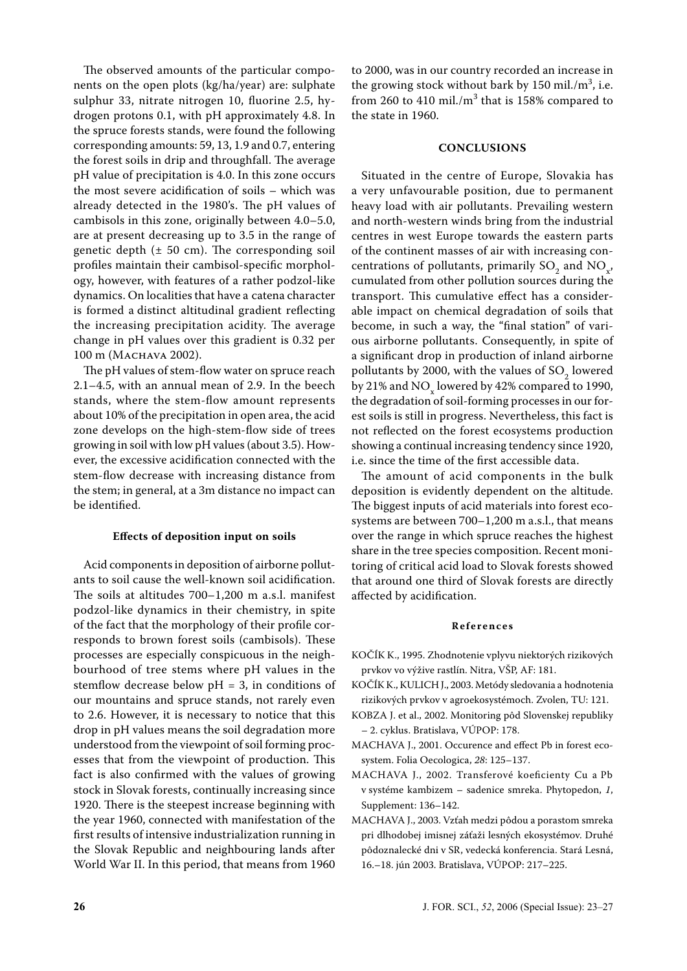The observed amounts of the particular components on the open plots (kg/ha/year) are: sulphate sulphur 33, nitrate nitrogen 10, fluorine 2.5, hydrogen protons 0.1, with pH approximately 4.8. In the spruce forests stands, were found the following corresponding amounts: 59, 13, 1.9 and 0.7, entering the forest soils in drip and throughfall. The average pH value of precipitation is 4.0. In this zone occurs the most severe acidification of soils – which was already detected in the 1980's. The pH values of cambisols in this zone, originally between 4.0–5.0, are at present decreasing up to 3.5 in the range of genetic depth  $(\pm 50 \text{ cm})$ . The corresponding soil profiles maintain their cambisol-specific morphology, however, with features of a rather podzol-like dynamics. On localities that have a catena character is formed a distinct altitudinal gradient reflecting the increasing precipitation acidity. The average change in pH values over this gradient is 0.32 per 100 m (MACHAVA 2002).

The pH values of stem-flow water on spruce reach 2.1–4.5, with an annual mean of 2.9. In the beech stands, where the stem-flow amount represents about 10% of the precipitation in open area, the acid zone develops on the high-stem-flow side of trees growing in soil with low pH values (about 3.5). However, the excessive acidification connected with the stem-flow decrease with increasing distance from the stem; in general, at a 3m distance no impact can be identified.

#### **Effects of deposition input on soils**

Acid components in deposition of airborne pollutants to soil cause the well-known soil acidification. The soils at altitudes 700–1,200 m a.s.l. manifest podzol-like dynamics in their chemistry, in spite of the fact that the morphology of their profile corresponds to brown forest soils (cambisols). These processes are especially conspicuous in the neighbourhood of tree stems where pH values in the stemflow decrease below  $pH = 3$ , in conditions of our mountains and spruce stands, not rarely even to 2.6. However, it is necessary to notice that this drop in pH values means the soil degradation more understood from the viewpoint of soil forming processes that from the viewpoint of production. This fact is also confirmed with the values of growing stock in Slovak forests, continually increasing since 1920. There is the steepest increase beginning with the year 1960, connected with manifestation of the first results of intensive industrialization running in the Slovak Republic and neighbouring lands after World War II. In this period, that means from 1960

to 2000, was in our country recorded an increase in the growing stock without bark by  $150$  mil./m<sup>3</sup>, i.e. from 260 to 410 mil./ $m<sup>3</sup>$  that is 158% compared to the state in 1960.

#### **CONCLUSIONS**

Situated in the centre of Europe, Slovakia has a very unfavourable position, due to permanent heavy load with air pollutants. Prevailing western and north-western winds bring from the industrial centres in west Europe towards the eastern parts of the continent masses of air with increasing concentrations of pollutants, primarily  $SO_2$  and  $NO_x$ , cumulated from other pollution sources during the transport. This cumulative effect has a considerable impact on chemical degradation of soils that become, in such a way, the "final station" of various airborne pollutants. Consequently, in spite of a significant drop in production of inland airborne pollutants by 2000, with the values of  $SO_2$  lowered by 21% and  $NO_x$  lowered by 42% compared to 1990, the degradation of soil-forming processes in our forest soils is still in progress. Nevertheless, this fact is not reflected on the forest ecosystems production showing a continual increasing tendency since 1920, i.e. since the time of the first accessible data.

The amount of acid components in the bulk deposition is evidently dependent on the altitude. The biggest inputs of acid materials into forest ecosystems are between 700–1,200 m a.s.l., that means over the range in which spruce reaches the highest share in the tree species composition. Recent monitoring of critical acid load to Slovak forests showed that around one third of Slovak forests are directly affected by acidification.

#### **R e f e r e n c e s**

- KOČÍK K., 1995. Zhodnotenie vplyvu niektorých rizikových prvkov vo výžive rastlín. Nitra, VŠP, AF: 181.
- KOČÍK K., KULICH J., 2003. Metódy sledovania a hodnotenia rizikových prvkov v agroekosystémoch. Zvolen, TU: 121.
- KOBZA J. et al., 2002. Monitoring pôd Slovenskej republiky – 2. cyklus. Bratislava, VÚPOP: 178.
- MACHAVA J., 2001. Occurence and effect Pb in forest ecosystem. Folia Oecologica, *28*: 125–137.
- MACHAVA J., 2002. Transferové koeficienty Cu a Pb v systéme kambizem – sadenice smreka. Phytopedon, *1*, Supplement: 136–142.
- MACHAVA J., 2003. Vzťah medzi pôdou a porastom smreka pri dlhodobej imisnej záťaži lesných ekosystémov. Druhé pôdoznalecké dni v SR, vedecká konferencia. Stará Lesná, 16.–18. jún 2003. Bratislava, VÚPOP: 217–225.